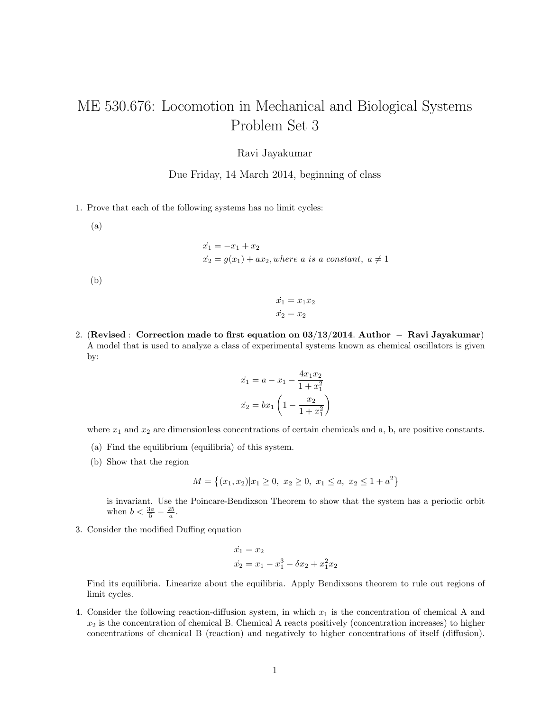## ME 530.676: Locomotion in Mechanical and Biological Systems Problem Set 3

## Ravi Jayakumar

Due Friday, 14 March 2014, beginning of class

1. Prove that each of the following systems has no limit cycles:

(a)

 $\dot{x_1} = -x_1 + x_2$  $\dot{x_2} = g(x_1) + ax_2$ , where a is a constant,  $a \neq 1$ 

(b)

$$
\begin{aligned}\n\dot{x_1} &= x_1 x_2\\ \n\dot{x_2} &= x_2\n\end{aligned}
$$

2. (Revised : Correction made to first equation on 03/13/2014. Author − Ravi Jayakumar) A model that is used to analyze a class of experimental systems known as chemical oscillators is given by:

$$
\dot{x_1} = a - x_1 - \frac{4x_1x_2}{1 + x_1^2}
$$

$$
\dot{x_2} = bx_1 \left(1 - \frac{x_2}{1 + x_1^2}\right)
$$

where  $x_1$  and  $x_2$  are dimensionless concentrations of certain chemicals and a, b, are positive constants.

- (a) Find the equilibrium (equilibria) of this system.
- (b) Show that the region

$$
M = \{(x_1, x_2)|x_1 \ge 0, x_2 \ge 0, x_1 \le a, x_2 \le 1 + a^2\}
$$

is invariant. Use the Poincare-Bendixson Theorem to show that the system has a periodic orbit when  $b < \frac{3a}{5} - \frac{25}{a}$ .

3. Consider the modified Duffing equation

$$
\begin{aligned}\n\dot{x}_1 &= x_2\\ \n\dot{x}_2 &= x_1 - x_1^3 - \delta x_2 + x_1^2 x_2\n\end{aligned}
$$

Find its equilibria. Linearize about the equilibria. Apply Bendixsons theorem to rule out regions of limit cycles.

4. Consider the following reaction-diffusion system, in which  $x_1$  is the concentration of chemical A and  $x_2$  is the concentration of chemical B. Chemical A reacts positively (concentration increases) to higher concentrations of chemical B (reaction) and negatively to higher concentrations of itself (diffusion).